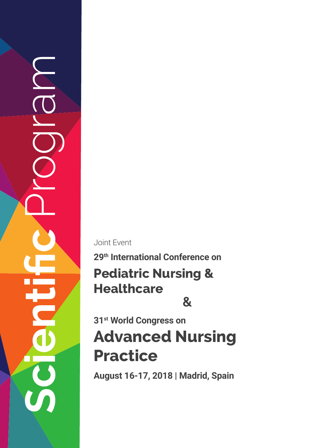**Scientific** Program

Joint Event

## **Pediatric Nursing & Healthcare 29th International Conference on &**

# **Advanced Nursing Practice 31st World Congress on**

**August 16-17, 2018 | Madrid, Spain**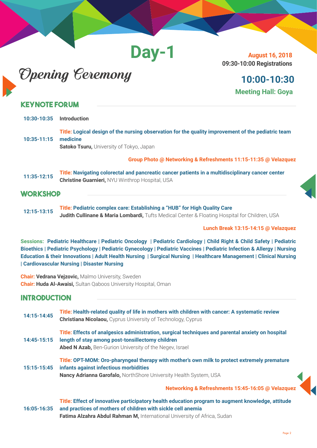**Day-1**

# Opening Ceremony

**August 16, 2018 09:30-10:00 Registrations**

## **10:00-10:30 Meeting Hall: Goya**

### **Keynote Forum**

| 10:30-10:35     | <b>Introduction</b>                                                                                                                                               |
|-----------------|-------------------------------------------------------------------------------------------------------------------------------------------------------------------|
| $10:35 - 11:15$ | Title: Logical design of the nursing observation for the quality improvement of the pediatric team<br>medicine<br><b>Satoko Tsuru, University of Tokyo, Japan</b> |
|                 | Group Photo @ Networking & Refreshments 11:15-11:35 @ Velazquez                                                                                                   |
| 11:35-12:15     | Title: Navigating colorectal and pancreatic cancer patients in a multidisciplinary cancer center<br><b>Christine Guarnieri, NYU Winthrop Hospital, USA</b>        |

### **WORKSHOP**

**12:15-13:15 Title: Pediatric complex care: Establishing a "HUB" for High Quality Care Judith Cullinane & Maria Lombardi,** Tufts Medical Center & Floating Hospital for Children, USA

**Lunch Break 13:15-14:15 @ Velazquez**

**Sessions: Pediatric Healthcare | Pediatric Oncology | Pediatric Cardiology | Child Right & Child Safety | Pediatric Bioethics | Pediatric Psychology | Pediatric Gynecology | Pediatric Vaccines | Pediatric Infection & Allergy | Nursing Education & their Innovations | Adult Health Nursing | Surgical Nursing | Healthcare Management | Clinical Nursing | Cardiovascular Nursing | Disaster Nursing**

**Chair: Vedrana Vejzovic,** Malmo University, Sweden **Chair: Huda Al-Awaisi,** Sultan Qaboos University Hospital, Oman

### **Introduction**

| 14:15-14:45 | Title: Health-related quality of life in mothers with children with cancer: A systematic review<br><b>Christiana Nicolaou, Cyprus University of Technology, Cyprus</b>                                           |
|-------------|------------------------------------------------------------------------------------------------------------------------------------------------------------------------------------------------------------------|
| 14:45-15:15 | Title: Effects of analgesics administration, surgical techniques and parental anxiety on hospital<br>length of stay among post-tonsillectomy children<br>Abed N Azab, Ben-Gurion University of the Negev, Israel |
| 15:15-15:45 | Title: OPT-MOM: Oro-pharyngeal therapy with mother's own milk to protect extremely premature<br>infants against infectious morbidities<br>Nancy Adrianna Garofalo, NorthShore University Health System, USA      |
|             | Networking & Refreshments 15:45-16:05 @ Velazquez                                                                                                                                                                |
| 16:05-16:35 | Title: Effect of innovative participatory health education program to augment knowledge, attitude<br>and practices of mothers of children with sickle cell anemia                                                |

**Fatima Alzahra Abdul Rahman M,** International University of Africa, Sudan

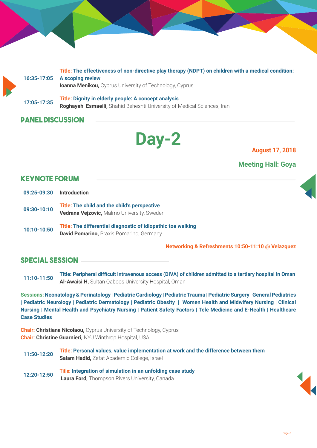**16:35-17:05 Title: The effectiveness of non-directive play therapy (NDPT) on children with a medical condition: A scoping review Ioanna Menikou,** Cyprus University of Technology, Cyprus **17:05-17:35 Title: Dignity in elderly people: A concept analysis Roghayeh Esmaeili,** Shahid Beheshti University of Medical Sciences, Iran

### **Panel Discussion**

# **Day-2 August 17, 2018**

### **Meeting Hall: Goya**

### **Keynote Forum**

- **09:25-09:30 Introduction**
- **09:30-10:10 Title: The child and the child's perspective Vedrana Vejzovic,** Malmo University, Sweden
- **10:10-10:50 Title: The differential diagnostic of idiopathic toe walking David Pomarino,** Praxis Pomarino, Germany

**Networking & Refreshments 10:50-11:10 @ Velazquez**

### **special session**

**11:10-11:50 Title: Peripheral difficult intravenous access (DIVA) of children admitted to a tertiary hospital in Oman Al-Awaisi H,** Sultan Qaboos University Hospital, Oman

**Sessions: Neonatology & Perinatology | Pediatric Cardiology | Pediatric Trauma | Pediatric Surgery | General Pediatrics | Pediatric Neurology | Pediatric Dermatology | Pediatric Obesity | Women Health and Midwifery Nursing | Clinical Nursing | Mental Health and Psychiatry Nursing | Patient Safety Factors | Tele Medicine and E-Health | Healthcare Case Studies** 

**Chair: Christiana Nicolaou,** Cyprus University of Technology, Cyprus **Chair: Christine Guarnieri,** NYU Winthrop Hospital, USA

**11:50-12:20 Title: Personal values, value implementation at work and the difference between them Salam Hadid,** Zefat Academic College, Israel

**12:20-12:50 Title: Integration of simulation in an unfolding case study Laura Ford,** Thompson Rivers University, Canada



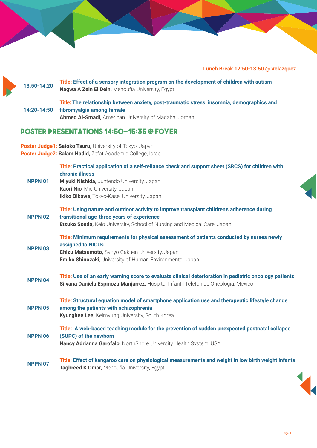### **Lunch Break 12:50-13:50 @ Velazquez**

| 13:50-14:20    | Title: Effect of a sensory integration program on the development of children with autism<br>Nagwa A Zein El Dein, Menoufia University, Egypt                                                                                                        |
|----------------|------------------------------------------------------------------------------------------------------------------------------------------------------------------------------------------------------------------------------------------------------|
| 14:20-14:50    | Title: The relationship between anxiety, post-traumatic stress, insomnia, demographics and<br>fibromyalgia among female<br>Ahmed Al-Smadi, American University of Madaba, Jordan                                                                     |
|                | <b>POSTER PRESENTATIONS 14:50-15:35 @ FOYER</b>                                                                                                                                                                                                      |
|                | Poster Judge1: Satoko Tsuru, University of Tokyo, Japan<br>Poster Judge2: Salam Hadid, Zefat Academic College, Israel                                                                                                                                |
| <b>NPPN 01</b> | Title: Practical application of a self-reliance check and support sheet (SRCS) for children with<br>chronic illness<br>Miyuki Nishida, Juntendo University, Japan<br>Kaori Nio, Mie University, Japan<br>Ikiko Oikawa, Tokyo-Kasei University, Japan |
| <b>NPPN 02</b> | Title: Using nature and outdoor activity to improve transplant children's adherence during<br>transitional age-three years of experience<br>Etsuko Soeda, Keio University, School of Nursing and Medical Care, Japan                                 |
| <b>NPPN 03</b> | Title: Minimum requirements for physical assessment of patients conducted by nurses newly<br>assigned to NICUs<br>Chizu Matsumoto, Sanyo Gakuen University, Japan<br><b>Emiko Shinozaki</b> , University of Human Environments, Japan                |
| <b>NPPN 04</b> | Title: Use of an early warning score to evaluate clinical deterioration in pediatric oncology patients<br>Silvana Daniela Espinoza Manjarrez, Hospital Infantil Teleton de Oncologia, Mexico                                                         |
| <b>NPPN 05</b> | Title: Structural equation model of smartphone application use and therapeutic lifestyle change<br>among the patients with schizophrenia<br>Kyunghee Lee, Keimyung University, South Korea                                                           |
| NPPN 06        | Title: A web-based teaching module for the prevention of sudden unexpected postnatal collapse<br>(SUPC) of the newborn<br>Nancy Adrianna Garofalo, NorthShore University Health System, USA                                                          |
| <b>NPPN 07</b> | Title: Effect of kangaroo care on physiological measurements and weight in low birth weight infants<br>Taghreed K Omar, Menoufia University, Egypt                                                                                                   |